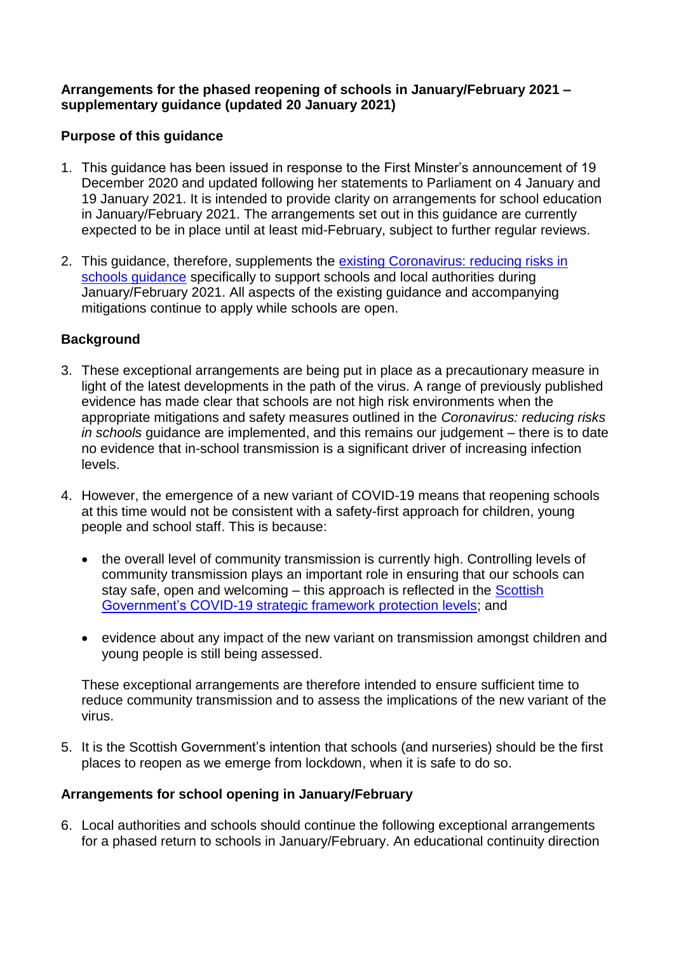## **Arrangements for the phased reopening of schools in January/February 2021 – supplementary guidance (updated 20 January 2021)**

# **Purpose of this guidance**

- 1. This guidance has been issued in response to the First Minster's announcement of 19 December 2020 and updated following her statements to Parliament on 4 January and 19 January 2021. It is intended to provide clarity on arrangements for school education in January/February 2021. The arrangements set out in this guidance are currently expected to be in place until at least mid-February, subject to further regular reviews.
- 2. This guidance, therefore, supplements the [existing Coronavirus: reducing risks in](https://www.gov.scot/publications/coronavirus-covid-19-guidance-on-reducing-the-risks-in-schools/pages/overview/)  [schools guidance](https://www.gov.scot/publications/coronavirus-covid-19-guidance-on-reducing-the-risks-in-schools/pages/overview/) specifically to support schools and local authorities during January/February 2021. All aspects of the existing guidance and accompanying mitigations continue to apply while schools are open.

# **Background**

- 3. These exceptional arrangements are being put in place as a precautionary measure in light of the latest developments in the path of the virus. A range of previously published evidence has made clear that schools are not high risk environments when the appropriate mitigations and safety measures outlined in the *Coronavirus: reducing risks in schools* guidance are implemented, and this remains our judgement – there is to date no evidence that in-school transmission is a significant driver of increasing infection levels.
- 4. However, the emergence of a new variant of COVID-19 means that reopening schools at this time would not be consistent with a safety-first approach for children, young people and school staff. This is because:
	- the overall level of community transmission is currently high. Controlling levels of community transmission plays an important role in ensuring that our schools can stay safe, open and welcoming – this approach is reflected in the Scottish [Government's COVID-19 strategic framework protection levels;](https://www.gov.scot/publications/covid-19-scotlands-strategic-framework/) and
	- evidence about any impact of the new variant on transmission amongst children and young people is still being assessed.

These exceptional arrangements are therefore intended to ensure sufficient time to reduce community transmission and to assess the implications of the new variant of the virus.

5. It is the Scottish Government's intention that schools (and nurseries) should be the first places to reopen as we emerge from lockdown, when it is safe to do so.

## **Arrangements for school opening in January/February**

6. Local authorities and schools should continue the following exceptional arrangements for a phased return to schools in January/February. An educational continuity direction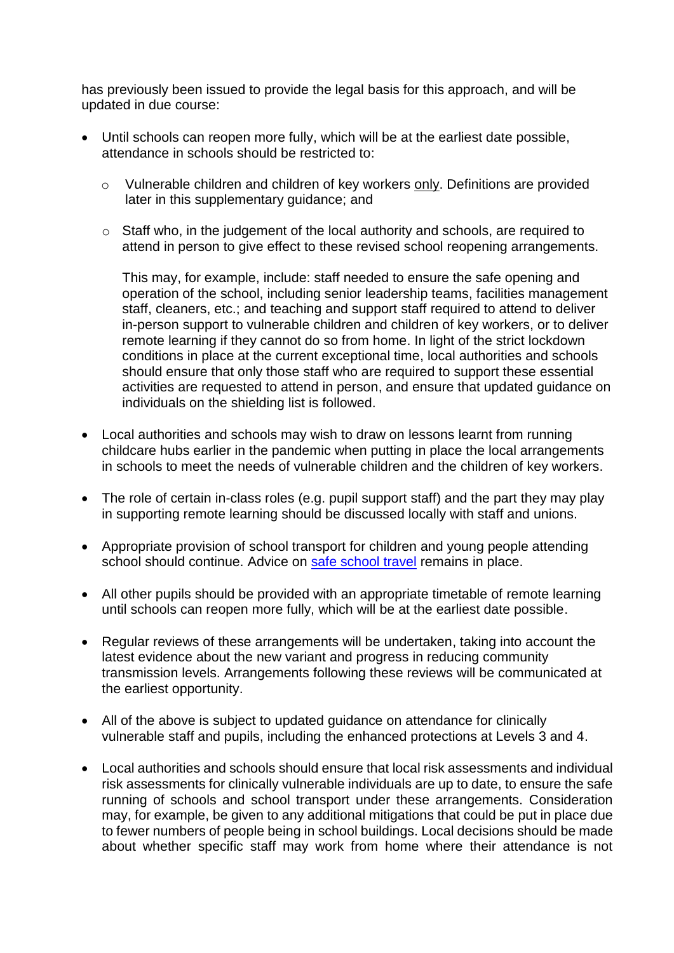has previously been issued to provide the legal basis for this approach, and will be updated in due course:

- Until schools can reopen more fully, which will be at the earliest date possible, attendance in schools should be restricted to:
	- $\circ$  Vulnerable children and children of key workers only. Definitions are provided later in this supplementary guidance; and
	- o Staff who, in the judgement of the local authority and schools, are required to attend in person to give effect to these revised school reopening arrangements.

This may, for example, include: staff needed to ensure the safe opening and operation of the school, including senior leadership teams, facilities management staff, cleaners, etc.; and teaching and support staff required to attend to deliver in-person support to vulnerable children and children of key workers, or to deliver remote learning if they cannot do so from home. In light of the strict lockdown conditions in place at the current exceptional time, local authorities and schools should ensure that only those staff who are required to support these essential activities are requested to attend in person, and ensure that updated guidance on individuals on the shielding list is followed.

- Local authorities and schools may wish to draw on lessons learnt from running childcare hubs earlier in the pandemic when putting in place the local arrangements in schools to meet the needs of vulnerable children and the children of key workers.
- The role of certain in-class roles (e.g. pupil support staff) and the part they may play in supporting remote learning should be discussed locally with staff and unions.
- Appropriate provision of school transport for children and young people attending school should continue. Advice on [safe school travel](https://www.gov.scot/publications/coronavirus-covid-19-guidance-on-reducing-the-risks-in-schools/pages/school-operations/#schooltransport) remains in place.
- All other pupils should be provided with an appropriate timetable of remote learning until schools can reopen more fully, which will be at the earliest date possible.
- Regular reviews of these arrangements will be undertaken, taking into account the latest evidence about the new variant and progress in reducing community transmission levels. Arrangements following these reviews will be communicated at the earliest opportunity.
- All of the above is subject to updated guidance on attendance for clinically vulnerable staff and pupils, including the enhanced protections at Levels 3 and 4.
- Local authorities and schools should ensure that local risk assessments and individual risk assessments for clinically vulnerable individuals are up to date, to ensure the safe running of schools and school transport under these arrangements. Consideration may, for example, be given to any additional mitigations that could be put in place due to fewer numbers of people being in school buildings. Local decisions should be made about whether specific staff may work from home where their attendance is not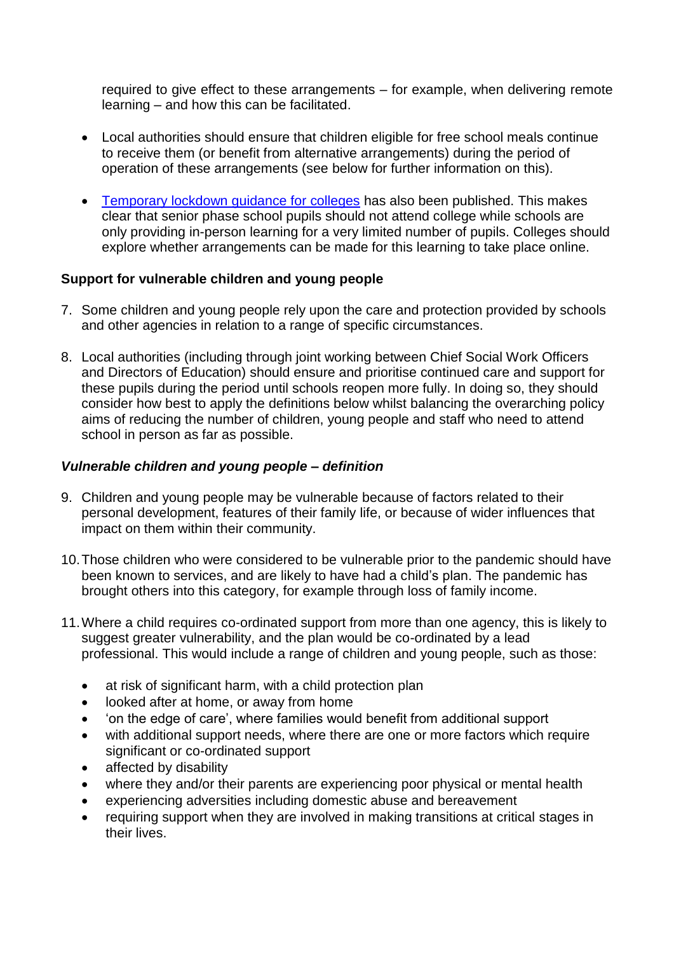required to give effect to these arrangements – for example, when delivering remote learning – and how this can be facilitated.

- Local authorities should ensure that children eligible for free school meals continue to receive them (or benefit from alternative arrangements) during the period of operation of these arrangements (see below for further information on this).
- [Temporary lockdown guidance for colleges](https://www.gov.scot/publications/coronavirus-covid-19-universities-colleges-and-student-accommodation-providers/pages/temporary-lockdown-guidance/) has also been published. This makes clear that senior phase school pupils should not attend college while schools are only providing in-person learning for a very limited number of pupils. Colleges should explore whether arrangements can be made for this learning to take place online.

## **Support for vulnerable children and young people**

- 7. Some children and young people rely upon the care and protection provided by schools and other agencies in relation to a range of specific circumstances.
- 8. Local authorities (including through joint working between Chief Social Work Officers and Directors of Education) should ensure and prioritise continued care and support for these pupils during the period until schools reopen more fully. In doing so, they should consider how best to apply the definitions below whilst balancing the overarching policy aims of reducing the number of children, young people and staff who need to attend school in person as far as possible.

## *Vulnerable children and young people – definition*

- 9. Children and young people may be vulnerable because of factors related to their personal development, features of their family life, or because of wider influences that impact on them within their community.
- 10.Those children who were considered to be vulnerable prior to the pandemic should have been known to services, and are likely to have had a child's plan. The pandemic has brought others into this category, for example through loss of family income.
- 11.Where a child requires co-ordinated support from more than one agency, this is likely to suggest greater vulnerability, and the plan would be co-ordinated by a lead professional. This would include a range of children and young people, such as those:
	- at risk of significant harm, with a child protection plan
	- looked after at home, or away from home
	- 'on the edge of care', where families would benefit from additional support
	- with additional support needs, where there are one or more factors which require significant or co-ordinated support
	- affected by disability
	- where they and/or their parents are experiencing poor physical or mental health
	- experiencing adversities including domestic abuse and bereavement
	- requiring support when they are involved in making transitions at critical stages in their lives.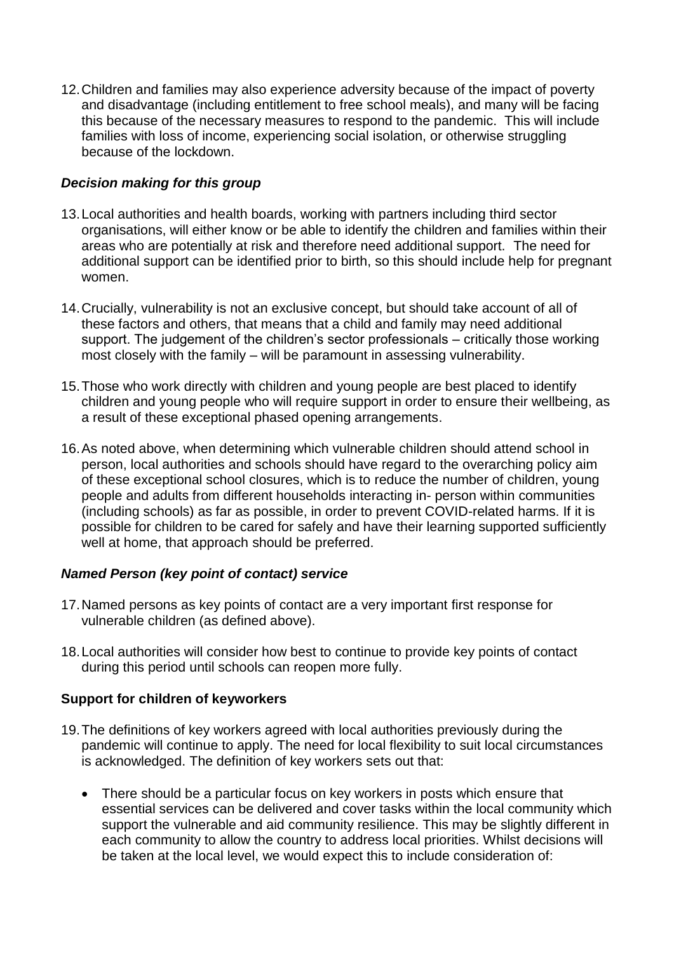12.Children and families may also experience adversity because of the impact of poverty and disadvantage (including entitlement to free school meals), and many will be facing this because of the necessary measures to respond to the pandemic. This will include families with loss of income, experiencing social isolation, or otherwise struggling because of the lockdown.

## *Decision making for this group*

- 13.Local authorities and health boards, working with partners including third sector organisations, will either know or be able to identify the children and families within their areas who are potentially at risk and therefore need additional support. The need for additional support can be identified prior to birth, so this should include help for pregnant women.
- 14.Crucially, vulnerability is not an exclusive concept, but should take account of all of these factors and others, that means that a child and family may need additional support. The judgement of the children's sector professionals – critically those working most closely with the family – will be paramount in assessing vulnerability.
- 15.Those who work directly with children and young people are best placed to identify children and young people who will require support in order to ensure their wellbeing, as a result of these exceptional phased opening arrangements.
- 16.As noted above, when determining which vulnerable children should attend school in person, local authorities and schools should have regard to the overarching policy aim of these exceptional school closures, which is to reduce the number of children, young people and adults from different households interacting in- person within communities (including schools) as far as possible, in order to prevent COVID-related harms. If it is possible for children to be cared for safely and have their learning supported sufficiently well at home, that approach should be preferred.

## *Named Person (key point of contact) service*

- 17.Named persons as key points of contact are a very important first response for vulnerable children (as defined above).
- 18.Local authorities will consider how best to continue to provide key points of contact during this period until schools can reopen more fully.

## **Support for children of keyworkers**

- 19.The definitions of key workers agreed with local authorities previously during the pandemic will continue to apply. The need for local flexibility to suit local circumstances is acknowledged. The definition of key workers sets out that:
	- There should be a particular focus on key workers in posts which ensure that essential services can be delivered and cover tasks within the local community which support the vulnerable and aid community resilience. This may be slightly different in each community to allow the country to address local priorities. Whilst decisions will be taken at the local level, we would expect this to include consideration of: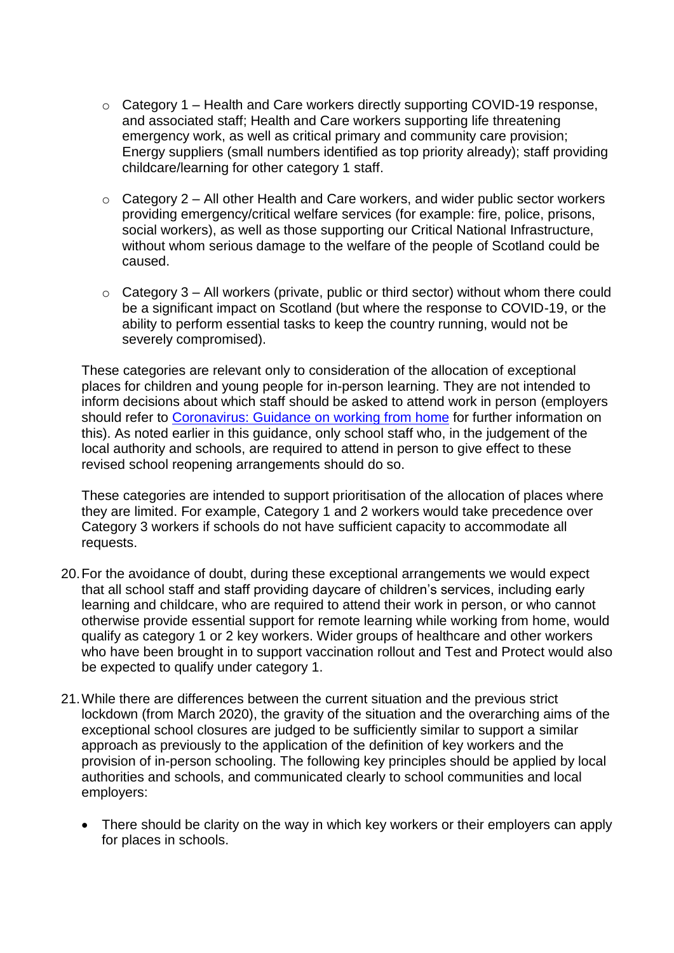- $\circ$  Category 1 Health and Care workers directly supporting COVID-19 response, and associated staff; Health and Care workers supporting life threatening emergency work, as well as critical primary and community care provision; Energy suppliers (small numbers identified as top priority already); staff providing childcare/learning for other category 1 staff.
- $\circ$  Category 2 All other Health and Care workers, and wider public sector workers providing emergency/critical welfare services (for example: fire, police, prisons, social workers), as well as those supporting our Critical National Infrastructure, without whom serious damage to the welfare of the people of Scotland could be caused.
- $\circ$  Category 3 All workers (private, public or third sector) without whom there could be a significant impact on Scotland (but where the response to COVID-19, or the ability to perform essential tasks to keep the country running, would not be severely compromised).

These categories are relevant only to consideration of the allocation of exceptional places for children and young people for in-person learning. They are not intended to inform decisions about which staff should be asked to attend work in person (employers should refer to [Coronavirus: Guidance on working from home](https://www.gov.scot/publications/coronavirus-covid-19-guidance-for-homeworking/pages/overview/) for further information on this). As noted earlier in this guidance, only school staff who, in the judgement of the local authority and schools, are required to attend in person to give effect to these revised school reopening arrangements should do so.

These categories are intended to support prioritisation of the allocation of places where they are limited. For example, Category 1 and 2 workers would take precedence over Category 3 workers if schools do not have sufficient capacity to accommodate all requests.

- 20.For the avoidance of doubt, during these exceptional arrangements we would expect that all school staff and staff providing daycare of children's services, including early learning and childcare, who are required to attend their work in person, or who cannot otherwise provide essential support for remote learning while working from home, would qualify as category 1 or 2 key workers. Wider groups of healthcare and other workers who have been brought in to support vaccination rollout and Test and Protect would also be expected to qualify under category 1.
- 21.While there are differences between the current situation and the previous strict lockdown (from March 2020), the gravity of the situation and the overarching aims of the exceptional school closures are judged to be sufficiently similar to support a similar approach as previously to the application of the definition of key workers and the provision of in-person schooling. The following key principles should be applied by local authorities and schools, and communicated clearly to school communities and local employers:
	- There should be clarity on the way in which key workers or their employers can apply for places in schools.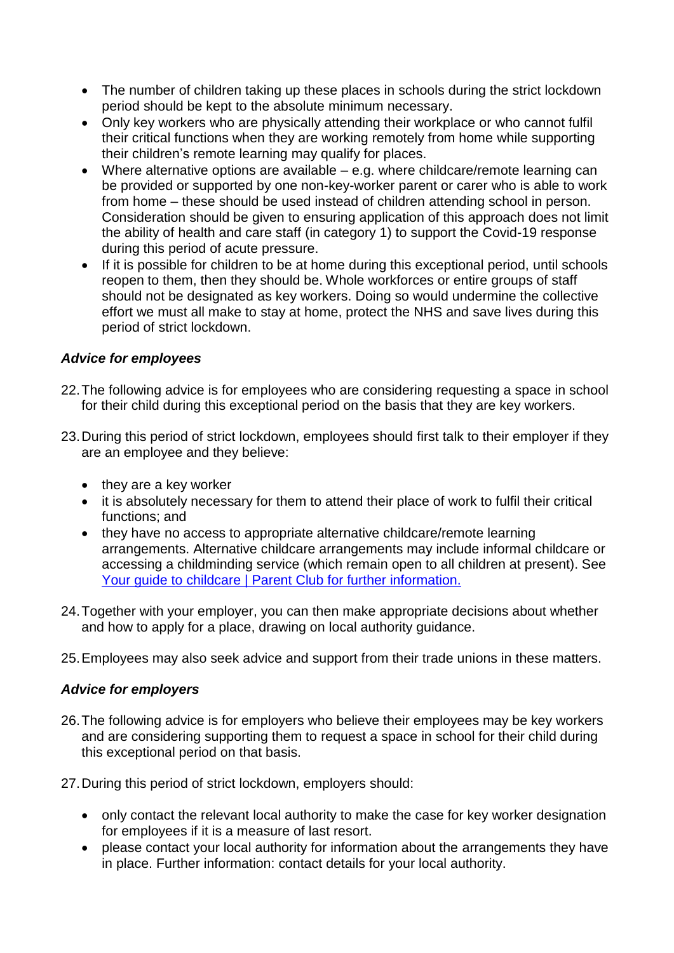- The number of children taking up these places in schools during the strict lockdown period should be kept to the absolute minimum necessary.
- Only key workers who are physically attending their workplace or who cannot fulfil their critical functions when they are working remotely from home while supporting their children's remote learning may qualify for places.
- Where alternative options are available e.g. where childcare/remote learning can be provided or supported by one non-key-worker parent or carer who is able to work from home – these should be used instead of children attending school in person. Consideration should be given to ensuring application of this approach does not limit the ability of health and care staff (in category 1) to support the Covid-19 response during this period of acute pressure.
- If it is possible for children to be at home during this exceptional period, until schools reopen to them, then they should be. Whole workforces or entire groups of staff should not be designated as key workers. Doing so would undermine the collective effort we must all make to stay at home, protect the NHS and save lives during this period of strict lockdown.

## *Advice for employees*

- 22.The following advice is for employees who are considering requesting a space in school for their child during this exceptional period on the basis that they are key workers.
- 23.During this period of strict lockdown, employees should first talk to their employer if they are an employee and they believe:
	- they are a key worker
	- it is absolutely necessary for them to attend their place of work to fulfil their critical functions; and
	- they have no access to appropriate alternative childcare/remote learning arrangements. Alternative childcare arrangements may include informal childcare or accessing a childminding service (which remain open to all children at present). See [Your guide to childcare | Parent Club](https://www.parentclub.scot/articles/your-guide-childcare) for further information.
- 24.Together with your employer, you can then make appropriate decisions about whether and how to apply for a place, drawing on local authority guidance.
- 25.Employees may also seek advice and support from their trade unions in these matters.

#### *Advice for employers*

- 26.The following advice is for employers who believe their employees may be key workers and are considering supporting them to request a space in school for their child during this exceptional period on that basis.
- 27.During this period of strict lockdown, employers should:
	- only contact the relevant local authority to make the case for key worker designation for employees if it is a measure of last resort.
	- please contact your local authority for information about the arrangements they have in place. Further information: contact details for your local authority.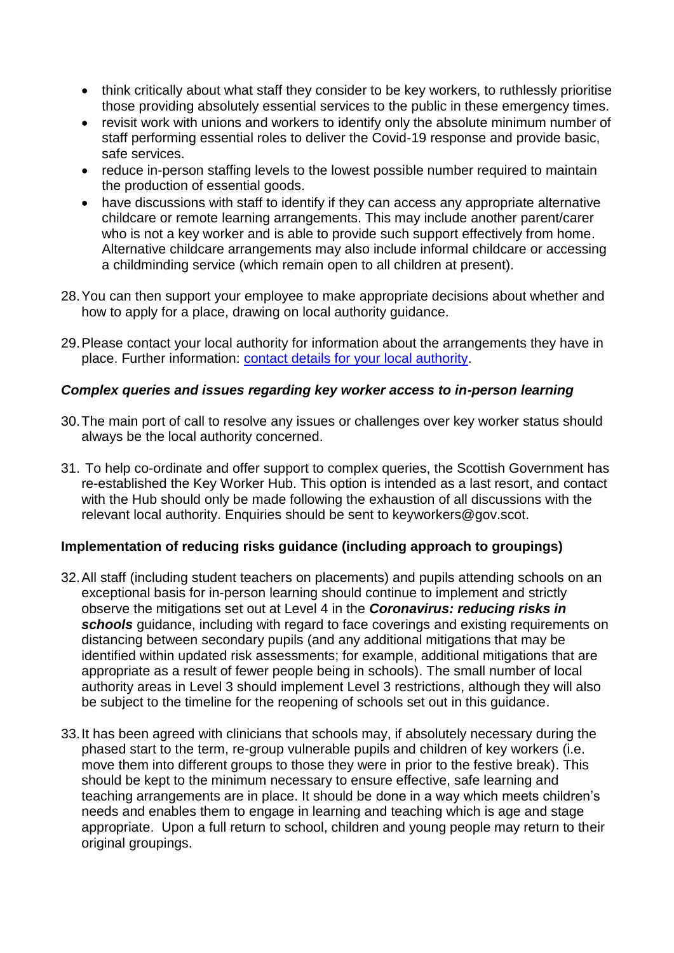- think critically about what staff they consider to be key workers, to ruthlessly prioritise those providing absolutely essential services to the public in these emergency times.
- revisit work with unions and workers to identify only the absolute minimum number of staff performing essential roles to deliver the Covid-19 response and provide basic, safe services.
- reduce in-person staffing levels to the lowest possible number required to maintain the production of essential goods.
- have discussions with staff to identify if they can access any appropriate alternative childcare or remote learning arrangements. This may include another parent/carer who is not a key worker and is able to provide such support effectively from home. Alternative childcare arrangements may also include informal childcare or accessing a childminding service (which remain open to all children at present).
- 28.You can then support your employee to make appropriate decisions about whether and how to apply for a place, drawing on local authority guidance.
- 29.Please contact your local authority for information about the arrangements they have in place. Further information: [contact details for your local authority.](https://www.cosla.gov.uk/councils)

## *Complex queries and issues regarding key worker access to in-person learning*

- 30.The main port of call to resolve any issues or challenges over key worker status should always be the local authority concerned.
- 31. To help co-ordinate and offer support to complex queries, the Scottish Government has re-established the Key Worker Hub. This option is intended as a last resort, and contact with the Hub should only be made following the exhaustion of all discussions with the relevant local authority. Enquiries should be sent to keyworkers@gov.scot.

## **Implementation of reducing risks guidance (including approach to groupings)**

- 32.All staff (including student teachers on placements) and pupils attending schools on an exceptional basis for in-person learning should continue to implement and strictly observe the mitigations set out at Level 4 in the *Coronavirus: reducing risks in schools* guidance, including with regard to face coverings and existing requirements on distancing between secondary pupils (and any additional mitigations that may be identified within updated risk assessments; for example, additional mitigations that are appropriate as a result of fewer people being in schools). The small number of local authority areas in Level 3 should implement Level 3 restrictions, although they will also be subject to the timeline for the reopening of schools set out in this guidance.
- 33.It has been agreed with clinicians that schools may, if absolutely necessary during the phased start to the term, re-group vulnerable pupils and children of key workers (i.e. move them into different groups to those they were in prior to the festive break). This should be kept to the minimum necessary to ensure effective, safe learning and teaching arrangements are in place. It should be done in a way which meets children's needs and enables them to engage in learning and teaching which is age and stage appropriate. Upon a full return to school, children and young people may return to their original groupings.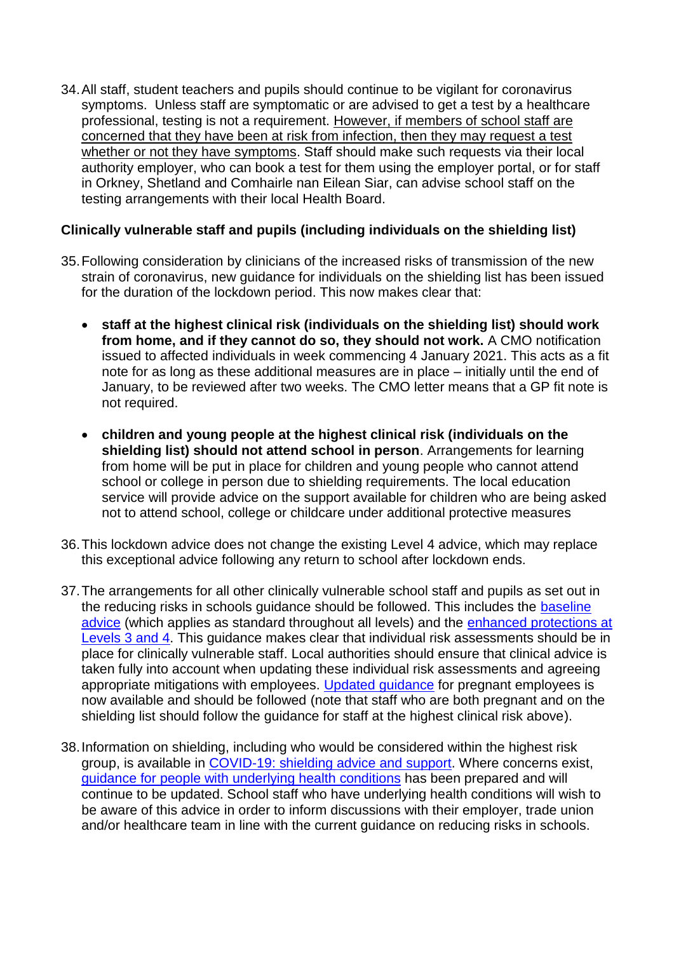34.All staff, student teachers and pupils should continue to be vigilant for coronavirus symptoms. Unless staff are symptomatic or are advised to get a test by a healthcare professional, testing is not a requirement. However, if members of school staff are concerned that they have been at risk from infection, then they may request a test whether or not they have symptoms. Staff should make such requests via their local authority employer, who can book a test for them using the employer portal, or for staff in Orkney, Shetland and Comhairle nan Eilean Siar, can advise school staff on the testing arrangements with their local Health Board.

## **Clinically vulnerable staff and pupils (including individuals on the shielding list)**

- 35.Following consideration by clinicians of the increased risks of transmission of the new strain of coronavirus, new guidance for individuals on the shielding list has been issued for the duration of the lockdown period. This now makes clear that:
	- **staff at the highest clinical risk (individuals on the shielding list) should work from home, and if they cannot do so, they should not work.** A CMO notification issued to affected individuals in week commencing 4 January 2021. This acts as a fit note for as long as these additional measures are in place – initially until the end of January, to be reviewed after two weeks. The CMO letter means that a GP fit note is not required.
	- **children and young people at the highest clinical risk (individuals on the shielding list) should not attend school in person**. Arrangements for learning from home will be put in place for children and young people who cannot attend school or college in person due to shielding requirements. The local education service will provide advice on the support available for children who are being asked not to attend school, college or childcare under additional protective measures
- 36.This lockdown advice does not change the existing Level 4 advice, which may replace this exceptional advice following any return to school after lockdown ends.
- 37.The arrangements for all other clinically vulnerable school staff and pupils as set out in the reducing risks in schools guidance should be followed. This includes the [baseline](https://www.gov.scot/publications/coronavirus-covid-19-guidance-on-reducing-the-risks-in-schools/pages/scientific-and-public-health-advice/#specialconsiderations)  [advice](https://www.gov.scot/publications/coronavirus-covid-19-guidance-on-reducing-the-risks-in-schools/pages/scientific-and-public-health-advice/#specialconsiderations) (which applies as standard throughout all levels) and the [enhanced protections at](https://www.gov.scot/publications/coronavirus-covid-19-guidance-on-reducing-the-risks-in-schools/pages/protection-levels-3-and-4/)  [Levels 3 and 4.](https://www.gov.scot/publications/coronavirus-covid-19-guidance-on-reducing-the-risks-in-schools/pages/protection-levels-3-and-4/) This guidance makes clear that individual risk assessments should be in place for clinically vulnerable staff. Local authorities should ensure that clinical advice is taken fully into account when updating these individual risk assessments and agreeing appropriate mitigations with employees. [Updated guidance](https://www.gov.uk/government/publications/coronavirus-covid-19-advice-for-pregnant-employees/coronavirus-covid-19-advice-for-pregnant-employees) for pregnant employees is now available and should be followed (note that staff who are both pregnant and on the shielding list should follow the guidance for staff at the highest clinical risk above).
- 38.Information on shielding, including who would be considered within the highest risk group, is available in [COVID-19: shielding advice and support.](https://www.gov.scot/publications/covid-shielding/pages/changes-to-shielding-advice/) Where concerns exist, [guidance for people with underlying health conditions](https://www.gov.scot/publications/coronavirus-covid-19-tailored-advice-for-those-who-live-with-specific-medical-conditions/) has been prepared and will continue to be updated. School staff who have underlying health conditions will wish to be aware of this advice in order to inform discussions with their employer, trade union and/or healthcare team in line with the current guidance on reducing risks in schools.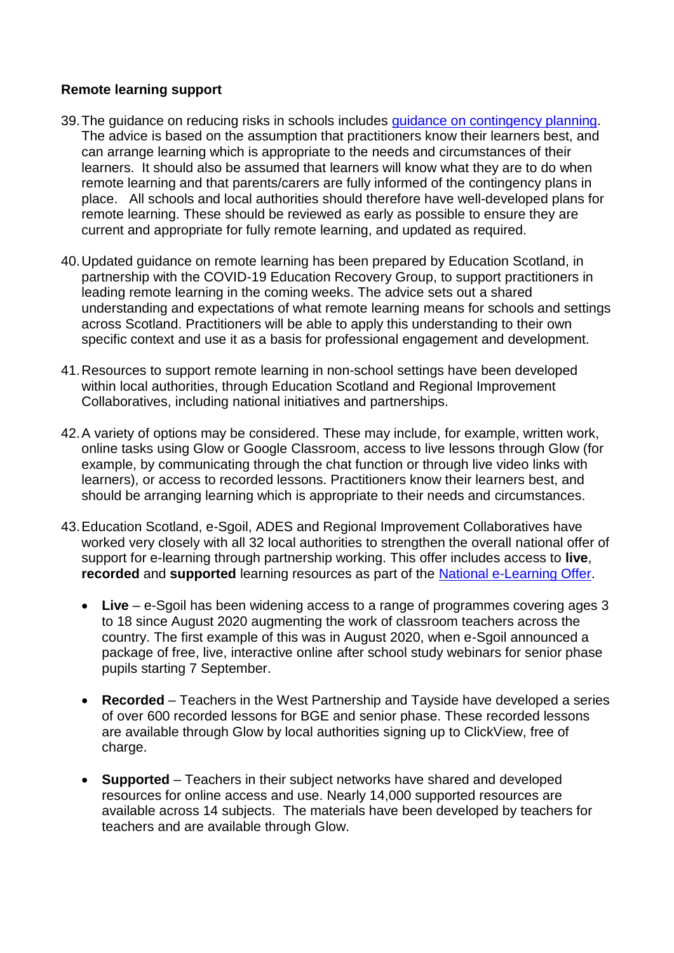#### **Remote learning support**

- 39.The guidance on reducing risks in schools includes [guidance on contingency planning.](https://www.gov.scot/publications/coronavirus-covid-19-guidance-on-reducing-the-risks-in-schools/pages/contingency-planning/) The advice is based on the assumption that practitioners know their learners best, and can arrange learning which is appropriate to the needs and circumstances of their learners. It should also be assumed that learners will know what they are to do when remote learning and that parents/carers are fully informed of the contingency plans in place. All schools and local authorities should therefore have well-developed plans for remote learning. These should be reviewed as early as possible to ensure they are current and appropriate for fully remote learning, and updated as required.
- 40.Updated guidance on remote learning has been prepared by Education Scotland, in partnership with the COVID-19 Education Recovery Group, to support practitioners in leading remote learning in the coming weeks. The advice sets out a shared understanding and expectations of what remote learning means for schools and settings across Scotland. Practitioners will be able to apply this understanding to their own specific context and use it as a basis for professional engagement and development.
- 41.Resources to support remote learning in non-school settings have been developed within local authorities, through Education Scotland and Regional Improvement Collaboratives, including national initiatives and partnerships.
- 42.A variety of options may be considered. These may include, for example, written work, online tasks using Glow or Google Classroom, access to live lessons through Glow (for example, by communicating through the chat function or through live video links with learners), or access to recorded lessons. Practitioners know their learners best, and should be arranging learning which is appropriate to their needs and circumstances.
- 43.Education Scotland, e-Sgoil, ADES and Regional Improvement Collaboratives have worked very closely with all 32 local authorities to strengthen the overall national offer of support for e-learning through partnership working. This offer includes access to **live**, **recorded** and **supported** learning resources as part of the [National e-Learning Offer.](https://education.gov.scot/improvement/national-e-learning-offer/)
	- **Live** e-Sgoil has been widening access to a range of programmes covering ages 3 to 18 since August 2020 augmenting the work of classroom teachers across the country. The first example of this was in August 2020, when e-Sgoil announced a package of free, live, interactive online after school study webinars for senior phase pupils starting 7 September.
	- **Recorded** Teachers in the West Partnership and Tayside have developed a series of over 600 recorded lessons for BGE and senior phase. These recorded lessons are available through Glow by local authorities signing up to ClickView, free of charge.
	- **Supported** Teachers in their subject networks have shared and developed resources for online access and use. Nearly 14,000 supported resources are available across 14 subjects. The materials have been developed by teachers for teachers and are available through Glow.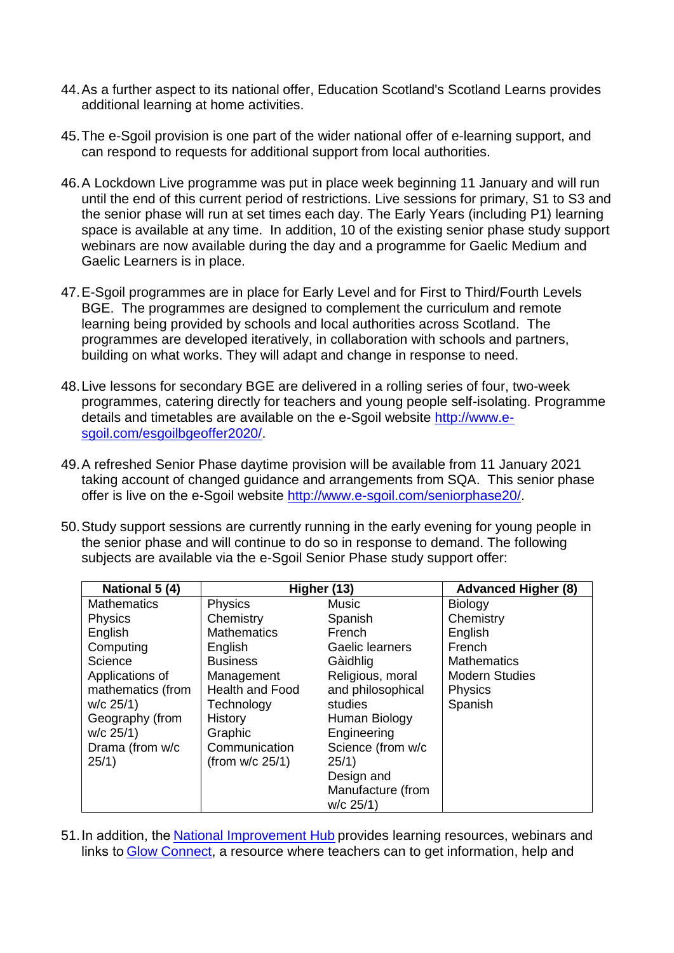- 44.As a further aspect to its national offer, Education Scotland's Scotland Learns provides additional learning at home activities.
- 45.The e-Sgoil provision is one part of the wider national offer of e-learning support, and can respond to requests for additional support from local authorities.
- 46.A Lockdown Live programme was put in place week beginning 11 January and will run until the end of this current period of restrictions. Live sessions for primary, S1 to S3 and the senior phase will run at set times each day. The Early Years (including P1) learning space is available at any time. In addition, 10 of the existing senior phase study support webinars are now available during the day and a programme for Gaelic Medium and Gaelic Learners is in place.
- 47.E-Sgoil programmes are in place for Early Level and for First to Third/Fourth Levels BGE. The programmes are designed to complement the curriculum and remote learning being provided by schools and local authorities across Scotland. The programmes are developed iteratively, in collaboration with schools and partners, building on what works. They will adapt and change in response to need.
- 48.Live lessons for secondary BGE are delivered in a rolling series of four, two-week programmes, catering directly for teachers and young people self-isolating. Programme details and timetables are available on the e-Sgoil website [http://www.e](http://www.e-sgoil.com/esgoilbgeoffer2020/)[sgoil.com/esgoilbgeoffer2020/.](http://www.e-sgoil.com/esgoilbgeoffer2020/)
- 49.A refreshed Senior Phase daytime provision will be available from 11 January 2021 taking account of changed guidance and arrangements from SQA. This senior phase offer is live on the e-Sgoil website [http://www.e-sgoil.com/seniorphase20/.](http://www.e-sgoil.com/seniorphase20/)
- 50.Study support sessions are currently running in the early evening for young people in the senior phase and will continue to do so in response to demand. The following subjects are available via the e-Sgoil Senior Phase study support offer:

| National 5 (4)     | Higher (13)            |                   | <b>Advanced Higher (8)</b> |
|--------------------|------------------------|-------------------|----------------------------|
| <b>Mathematics</b> | Physics                | <b>Music</b>      | <b>Biology</b>             |
| <b>Physics</b>     | Chemistry              | Spanish           | Chemistry                  |
| English            | <b>Mathematics</b>     | French            | English                    |
| Computing          | English                | Gaelic learners   | French                     |
| Science            | <b>Business</b>        | Gàidhlig          | <b>Mathematics</b>         |
| Applications of    | Management             | Religious, moral  | <b>Modern Studies</b>      |
| mathematics (from  | <b>Health and Food</b> | and philosophical | <b>Physics</b>             |
| $w/c$ 25/1)        | Technology             | studies           | Spanish                    |
| Geography (from    | History                | Human Biology     |                            |
| $w/c$ 25/1)        | Graphic                | Engineering       |                            |
| Drama (from w/c    | Communication          | Science (from w/c |                            |
| 25/1)              | (from $w/c$ 25/1)      | 25/1)             |                            |
|                    |                        | Design and        |                            |
|                    |                        | Manufacture (from |                            |
|                    |                        | $w/c$ 25/1)       |                            |

51. In addition, the National Improvement Hub provides learning resources, webinars and links to[Glow Connect,](https://glowconnect.org.uk/) a resource where teachers can to get information, help and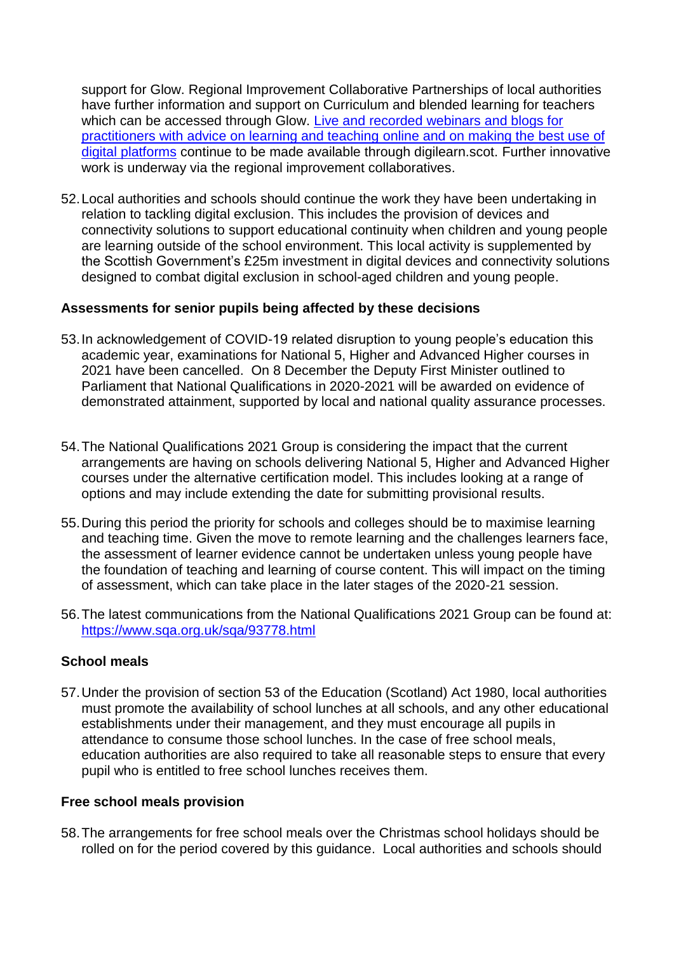support for Glow. Regional Improvement Collaborative Partnerships of local authorities have further information and support on Curriculum and blended learning for teachers which can be accessed through Glow. Live and recorded webinars and blogs for [practitioners with advice on learning and teaching](https://blogs.glowscotland.org.uk/glowblogs/digilearn/) online and on making the best use of [digital platforms](https://blogs.glowscotland.org.uk/glowblogs/digilearn/) continue to be made available through digilearn.scot. Further innovative work is underway via the regional improvement collaboratives.

52.Local authorities and schools should continue the work they have been undertaking in relation to tackling digital exclusion. This includes the provision of devices and connectivity solutions to support educational continuity when children and young people are learning outside of the school environment. This local activity is supplemented by the Scottish Government's £25m investment in digital devices and connectivity solutions designed to combat digital exclusion in school-aged children and young people.

#### **Assessments for senior pupils being affected by these decisions**

- 53.In acknowledgement of COVID-19 related disruption to young people's education this academic year, examinations for National 5, Higher and Advanced Higher courses in 2021 have been cancelled. On 8 December the Deputy First Minister outlined to Parliament that National Qualifications in 2020-2021 will be awarded on evidence of demonstrated attainment, supported by local and national quality assurance processes.
- 54.The National Qualifications 2021 Group is considering the impact that the current arrangements are having on schools delivering National 5, Higher and Advanced Higher courses under the alternative certification model. This includes looking at a range of options and may include extending the date for submitting provisional results.
- 55.During this period the priority for schools and colleges should be to maximise learning and teaching time. Given the move to remote learning and the challenges learners face, the assessment of learner evidence cannot be undertaken unless young people have the foundation of teaching and learning of course content. This will impact on the timing of assessment, which can take place in the later stages of the 2020-21 session.
- 56.The latest communications from the National Qualifications 2021 Group can be found at: <https://www.sqa.org.uk/sqa/93778.html>

#### **School meals**

57.Under the provision of section 53 of the Education (Scotland) Act 1980, local authorities must promote the availability of school lunches at all schools, and any other educational establishments under their management, and they must encourage all pupils in attendance to consume those school lunches. In the case of free school meals, education authorities are also required to take all reasonable steps to ensure that every pupil who is entitled to free school lunches receives them.

#### **Free school meals provision**

58.The arrangements for free school meals over the Christmas school holidays should be rolled on for the period covered by this guidance. Local authorities and schools should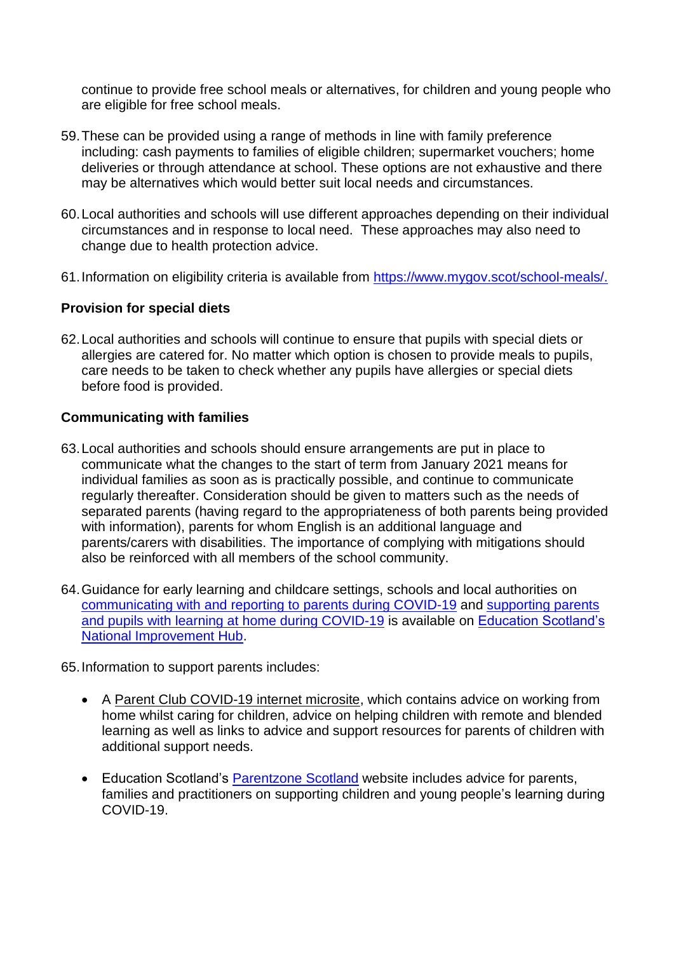continue to provide free school meals or alternatives, for children and young people who are eligible for free school meals.

- 59.These can be provided using a range of methods in line with family preference including: cash payments to families of eligible children; supermarket vouchers; home deliveries or through attendance at school. These options are not exhaustive and there may be alternatives which would better suit local needs and circumstances.
- 60.Local authorities and schools will use different approaches depending on their individual circumstances and in response to local need. These approaches may also need to change due to health protection advice.
- 61. Information on eligibility criteria is available from [https://www.mygov.scot/school-meals/.](https://www.mygov.scot/school-meals/)

## **Provision for special diets**

62.Local authorities and schools will continue to ensure that pupils with special diets or allergies are catered for. No matter which option is chosen to provide meals to pupils, care needs to be taken to check whether any pupils have allergies or special diets before food is provided.

## **Communicating with families**

- 63.Local authorities and schools should ensure arrangements are put in place to communicate what the changes to the start of term from January 2021 means for individual families as soon as is practically possible, and continue to communicate regularly thereafter. Consideration should be given to matters such as the needs of separated parents (having regard to the appropriateness of both parents being provided with information), parents for whom English is an additional language and parents/carers with disabilities. The importance of complying with mitigations should also be reinforced with all members of the school community.
- 64.Guidance for early learning and childcare settings, schools and local authorities on [communicating with and reporting to parents during COVID-19](https://education.gov.scot/media/qqydodzt/cerg-reporting-to-parents-guidance-nov-2020.pdf) and [supporting parents](https://education.gov.scot/media/3zxfumlo/supportingpupilsandparents.pdf)  and pupils with [learning at home during COVID-19](https://education.gov.scot/media/3zxfumlo/supportingpupilsandparents.pdf) is available on [Education Scotland's](https://education.gov.scot/improvement/)  [National Improvement Hub.](https://education.gov.scot/improvement/)

65.Information to support parents includes:

- A [Parent Club COVID-19 internet microsite,](https://www.parentclub.scot/topics/coronavirus) which contains advice on working from home whilst caring for children, advice on helping children with remote and blended learning as well as links to advice and support resources for parents of children with additional support needs.
- Education Scotland's [Parentzone Scotland](https://education.gov.scot/parentzone/) website includes advice for parents, families and practitioners on supporting children and young people's learning during COVID-19.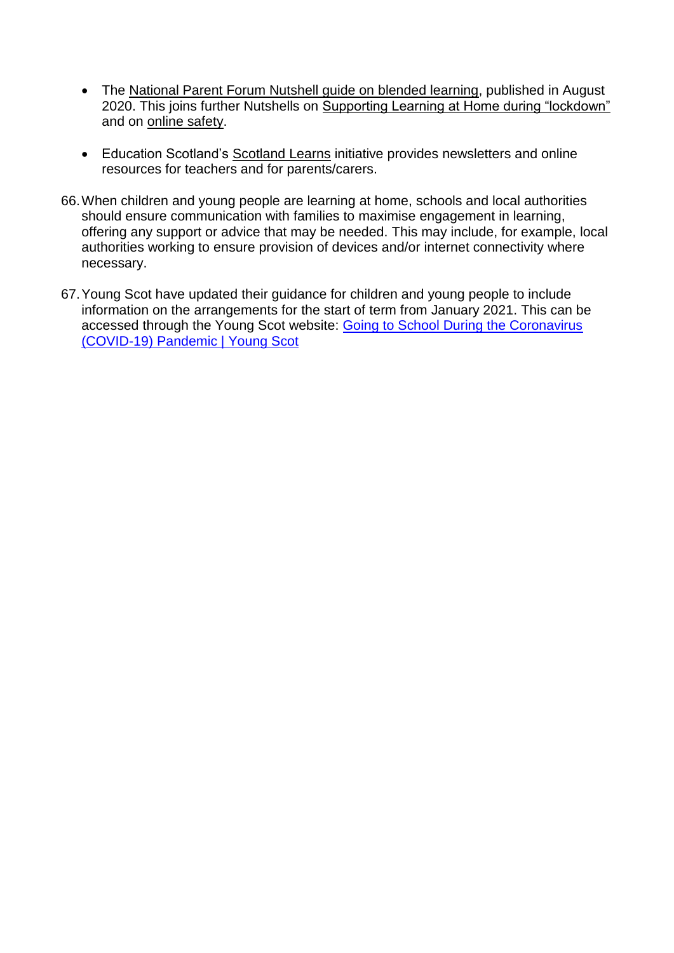- The [National Parent Forum Nutshell guide on blended learning,](https://www.npfs.org.uk/downloads/blended-learning-nutshell/) published in August 2020. This joins further Nutshells on [Supporting Learning at Home during "lockdown"](https://www.npfs.org.uk/wp-content/uploads/edd/2020/05/NPFS_learning-at-home_E.pdf) and on [online safety.](https://www.npfs.org.uk/wp-content/uploads/edd/2020/05/NPFS_online_safety_E.pdf)
- Education Scotland's [Scotland Learns](https://education.gov.scot/improvement/scotland-learns/) initiative provides newsletters and online resources for teachers and for parents/carers.
- 66.When children and young people are learning at home, schools and local authorities should ensure communication with families to maximise engagement in learning, offering any support or advice that may be needed. This may include, for example, local authorities working to ensure provision of devices and/or internet connectivity where necessary.
- 67.Young Scot have updated their guidance for children and young people to include information on the arrangements for the start of term from January 2021. This can be accessed through the Young Scot website: [Going to School During the Coronavirus](https://young.scot/get-informed/national/back-to-school-your-frequently-asked-questions)  [\(COVID-19\) Pandemic | Young Scot](https://young.scot/get-informed/national/back-to-school-your-frequently-asked-questions)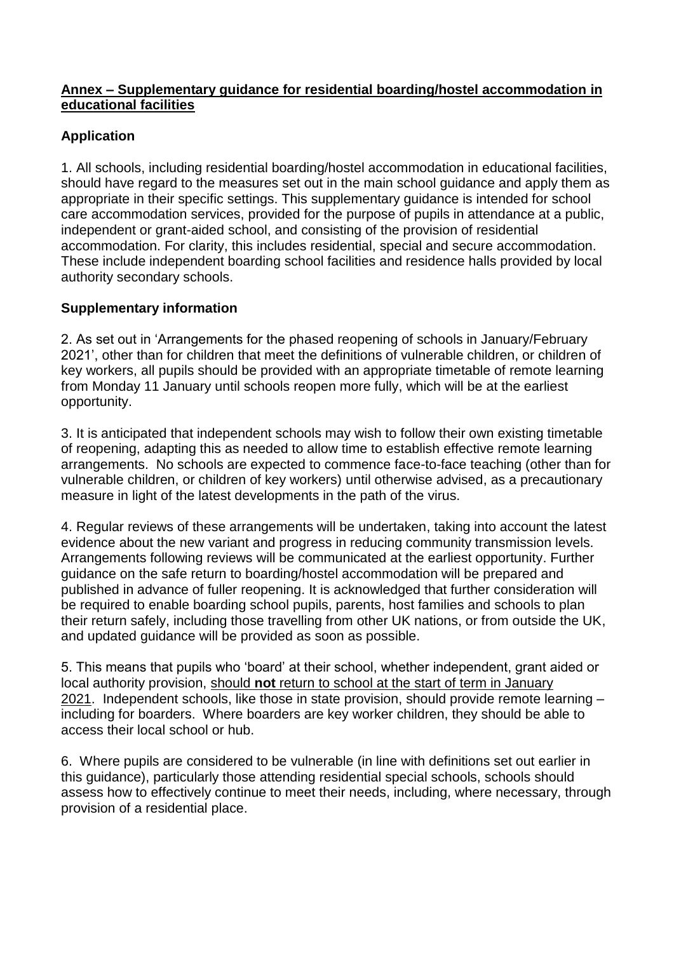#### **Annex – Supplementary guidance for residential boarding/hostel accommodation in educational facilities**

# **Application**

1. All schools, including residential boarding/hostel accommodation in educational facilities, should have regard to the measures set out in the main school guidance and apply them as appropriate in their specific settings. This supplementary guidance is intended for school care accommodation services, provided for the purpose of pupils in attendance at a public, independent or grant-aided school, and consisting of the provision of residential accommodation. For clarity, this includes residential, special and secure accommodation. These include independent boarding school facilities and residence halls provided by local authority secondary schools.

## **Supplementary information**

2. As set out in 'Arrangements for the phased reopening of schools in January/February 2021', other than for children that meet the definitions of vulnerable children, or children of key workers, all pupils should be provided with an appropriate timetable of remote learning from Monday 11 January until schools reopen more fully, which will be at the earliest opportunity.

3. It is anticipated that independent schools may wish to follow their own existing timetable of reopening, adapting this as needed to allow time to establish effective remote learning arrangements. No schools are expected to commence face-to-face teaching (other than for vulnerable children, or children of key workers) until otherwise advised, as a precautionary measure in light of the latest developments in the path of the virus.

4. Regular reviews of these arrangements will be undertaken, taking into account the latest evidence about the new variant and progress in reducing community transmission levels. Arrangements following reviews will be communicated at the earliest opportunity. Further guidance on the safe return to boarding/hostel accommodation will be prepared and published in advance of fuller reopening. It is acknowledged that further consideration will be required to enable boarding school pupils, parents, host families and schools to plan their return safely, including those travelling from other UK nations, or from outside the UK, and updated guidance will be provided as soon as possible.

5. This means that pupils who 'board' at their school, whether independent, grant aided or local authority provision, should **not** return to school at the start of term in January 2021. Independent schools, like those in state provision, should provide remote learning – including for boarders. Where boarders are key worker children, they should be able to access their local school or hub.

6. Where pupils are considered to be vulnerable (in line with definitions set out earlier in this guidance), particularly those attending residential special schools, schools should assess how to effectively continue to meet their needs, including, where necessary, through provision of a residential place.